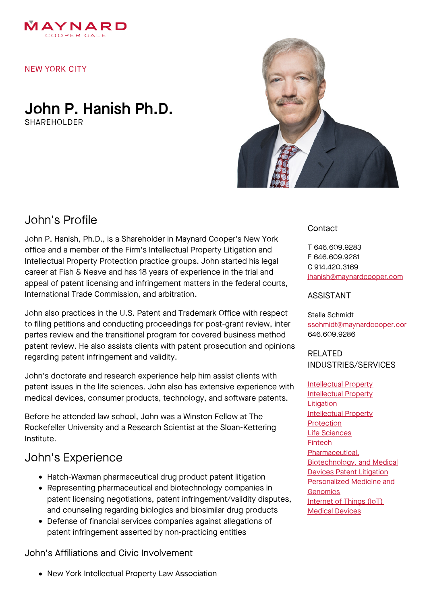

#### NEW YORK CITY

## John P. Hanish Ph.D. SHAREHOLDER



# John's Profile

John P. Hanish, Ph.D., is a Shareholder in Maynard Cooper's New York office and a member of the Firm's Intellectual Property Litigation and Intellectual Property Protection practice groups. John started his legal career at Fish & Neave and has 18 years of experience in the trial and appeal of patent licensing and infringement matters in the federal courts, International Trade Commission, and arbitration.

John also practices in the U.S. Patent and Trademark Office with respect to filing petitions and conducting proceedings for post-grant review, inter partes review and the transitional program for covered business method patent review. He also assists clients with patent prosecution and opinions regarding patent infringement and validity.

John's doctorate and research experience help him assist clients with patent issues in the life sciences. John also has extensive experience with medical devices, consumer products, technology, and software patents.

Before he attended law school, John was a Winston Fellow at The Rockefeller University and a Research Scientist at the Sloan-Kettering Institute.

# John's Experience

- Hatch-Waxman pharmaceutical drug product patent litigation
- Representing pharmaceutical and biotechnology companies in patent licensing negotiations, patent infringement/validity disputes, and counseling regarding biologics and biosimilar drug products
- Defense of financial services companies against allegations of patent infringement asserted by non-practicing entities

John's Affiliations and Civic Involvement

New York Intellectual Property Law Association

### Contact

T 646.609.9283 F 646.609.9281 C 914.420.3169 [jhanish@maynardcooper.com](file:///home/maynardcooper/storage/runtime/temp/enupalsnapshottemp/jhanish@maynardcooper.com)

#### ASSISTANT

Stella Schmidt sschmidt@maynardcooper.cor 646.609.9286

#### RELATED INDUSTRIES/SERVICES

[Intellectual](https://www.maynardcooper.com/services/intellectual-property) Property [Intellectual](https://www.maynardcooper.com/services/intellectual-property-litigation) Property **Litigation** [Intellectual](https://www.maynardcooper.com/services/intellectual-property-protection) Property **Protection** Life [Sciences](https://www.maynardcooper.com/services/life-sciences) [Fintech](https://www.maynardcooper.com/services/fintech) [Pharmaceutical,](https://www.maynardcooper.com/services/pharmaceutical-biotechnology-and-medical-devices-litigation) Biotechnology, and Medical **Devices Patent Litigation** [Personalized](https://www.maynardcooper.com/services/personalized-medicine-and-genomics) Medicine and **Genomics** [Internet](https://www.maynardcooper.com/services/internet-of-things-iot) of Things (IoT) Medical [Devices](https://www.maynardcooper.com/services/medical-devices)